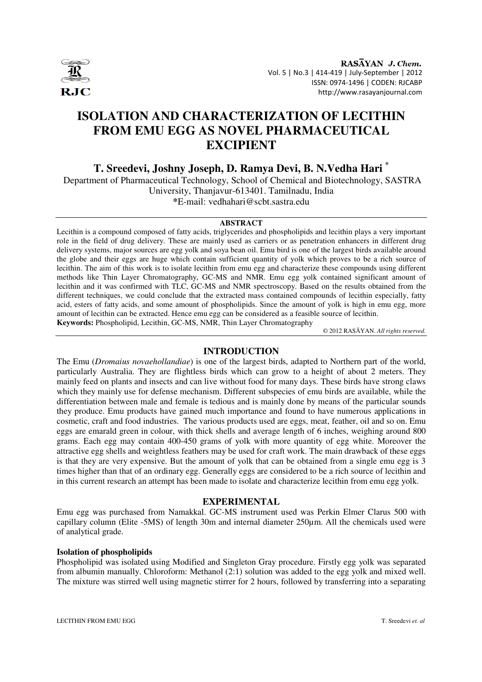

# **ISOLATION AND CHARACTERIZATION OF LECITHIN FROM EMU EGG AS NOVEL PHARMACEUTICAL EXCIPIENT**

**T. Sreedevi, Joshny Joseph, D. Ramya Devi, B. N.Vedha Hari \*** 

 Department of Pharmaceutical Technology, School of Chemical and Biotechnology, SASTRA University, Thanjavur-613401. Tamilnadu, India **\***E-mail: vedhahari@scbt.sastra.edu

## **ABSTRACT**

Lecithin is a compound composed of fatty acids, triglycerides and phospholipids and lecithin plays a very important role in the field of drug delivery. These are mainly used as carriers or as penetration enhancers in different drug delivery systems, major sources are egg yolk and soya bean oil. Emu bird is one of the largest birds available around the globe and their eggs are huge which contain sufficient quantity of yolk which proves to be a rich source of lecithin. The aim of this work is to isolate lecithin from emu egg and characterize these compounds using different methods like Thin Layer Chromatography, GC-MS and NMR. Emu egg yolk contained significant amount of lecithin and it was confirmed with TLC, GC-MS and NMR spectroscopy. Based on the results obtained from the different techniques, we could conclude that the extracted mass contained compounds of lecithin especially, fatty acid, esters of fatty acids, and some amount of phospholipids. Since the amount of yolk is high in emu egg, more amount of lecithin can be extracted. Hence emu egg can be considered as a feasible source of lecithin. **Keywords:** Phospholipid, Lecithin, GC-MS, NMR, Thin Layer Chromatography

© 2012 RASĀYAN. *All rights reserved.*

# **INTRODUCTION**

The Emu (*Dromaius novaehollandiae*) is one of the largest birds, adapted to Northern part of the world, particularly Australia. They are flightless birds which can grow to a height of about 2 meters. They mainly feed on plants and insects and can live without food for many days. These birds have strong claws which they mainly use for defense mechanism. Different subspecies of emu birds are available, while the differentiation between male and female is tedious and is mainly done by means of the particular sounds they produce. Emu products have gained much importance and found to have numerous applications in cosmetic, craft and food industries. The various products used are eggs, meat, feather, oil and so on. Emu eggs are emarald green in colour, with thick shells and average length of 6 inches, weighing around 800 grams. Each egg may contain 400-450 grams of yolk with more quantity of egg white. Moreover the attractive egg shells and weightless feathers may be used for craft work. The main drawback of these eggs is that they are very expensive. But the amount of yolk that can be obtained from a single emu egg is 3 times higher than that of an ordinary egg. Generally eggs are considered to be a rich source of lecithin and in this current research an attempt has been made to isolate and characterize lecithin from emu egg yolk.

## **EXPERIMENTAL**

Emu egg was purchased from Namakkal. GC-MS instrument used was Perkin Elmer Clarus 500 with capillary column (Elite -5MS) of length 30m and internal diameter 250µm. All the chemicals used were of analytical grade.

## **Isolation of phospholipids**

Phospholipid was isolated using Modified and Singleton Gray procedure. Firstly egg yolk was separated from albumin manually. Chloroform: Methanol (2:1) solution was added to the egg yolk and mixed well. The mixture was stirred well using magnetic stirrer for 2 hours, followed by transferring into a separating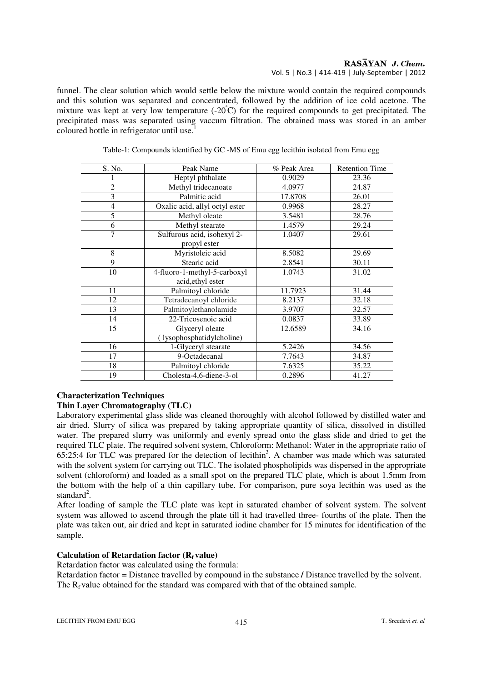## RASAYAN J. Chem. Vol. 5 | No.3 | 414-419 | July-September | 2012

funnel. The clear solution which would settle below the mixture would contain the required compounds and this solution was separated and concentrated, followed by the addition of ice cold acetone. The mixture was kept at very low temperature  $(-20^{\circ}\text{C})$  for the required compounds to get precipitated. The precipitated mass was separated using vaccum filtration. The obtained mass was stored in an amber coloured bottle in refrigerator until use.<sup>1</sup>

| S. No.         | Peak Name                      | % Peak Area | <b>Retention Time</b> |
|----------------|--------------------------------|-------------|-----------------------|
|                | Heptyl phthalate               | 0.9029      | 23.36                 |
| $\overline{c}$ | Methyl tridecanoate            | 4.0977      | 24.87                 |
| 3              | Palmitic acid                  | 17.8708     | 26.01                 |
| 4              | Oxalic acid, allyl octyl ester | 0.9968      | 28.27                 |
| 5              | Methyl oleate                  | 3.5481      | 28.76                 |
| 6              | Methyl stearate                | 1.4579      | 29.24                 |
| 7              | Sulfurous acid, isohexyl 2-    | 1.0407      | 29.61                 |
|                | propyl ester                   |             |                       |
| 8              | Myristoleic acid               | 8.5082      | 29.69                 |
| 9              | Stearic acid                   | 2.8541      | 30.11                 |
| 10             | 4-fluoro-1-methyl-5-carboxyl   | 1.0743      | 31.02                 |
|                | acid, ethyl ester              |             |                       |
| 11             | Palmitoyl chloride             | 11.7923     | 31.44                 |
| 12             | Tetradecanoyl chloride         | 8.2137      | 32.18                 |
| 13             | Palmitoylethanolamide          | 3.9707      | 32.57                 |
| 14             | 22-Tricosenoic acid            | 0.0837      | 33.89                 |
| 15             | Glyceryl oleate                | 12.6589     | 34.16                 |
|                | (lysophosphatidylcholine)      |             |                       |
| 16             | 1-Glyceryl stearate            | 5.2426      | 34.56                 |
| 17             | 9-Octadecanal                  | 7.7643      | 34.87                 |
| 18             | Palmitoyl chloride             | 7.6325      | 35.22                 |
| 19             | Cholesta-4,6-diene-3-ol        | 0.2896      | 41.27                 |

Table-1: Compounds identified by GC -MS of Emu egg lecithin isolated from Emu egg

# **Characterization Techniques Thin Layer Chromatography (TLC)**

Laboratory experimental glass slide was cleaned thoroughly with alcohol followed by distilled water and air dried. Slurry of silica was prepared by taking appropriate quantity of silica, dissolved in distilled water. The prepared slurry was uniformly and evenly spread onto the glass slide and dried to get the required TLC plate. The required solvent system, Chloroform: Methanol: Water in the appropriate ratio of 65:25:4 for TLC was prepared for the detection of lecithin<sup>3</sup>. A chamber was made which was saturated with the solvent system for carrying out TLC. The isolated phospholipids was dispersed in the appropriate solvent (chloroform) and loaded as a small spot on the prepared TLC plate, which is about 1.5mm from the bottom with the help of a thin capillary tube. For comparison, pure soya lecithin was used as the standard<sup>2</sup>.

After loading of sample the TLC plate was kept in saturated chamber of solvent system. The solvent system was allowed to ascend through the plate till it had travelled three- fourths of the plate. Then the plate was taken out, air dried and kept in saturated iodine chamber for 15 minutes for identification of the sample.

# **Calculation of Retardation factor (Rf value)**

Retardation factor was calculated using the formula:

Retardation factor = Distance travelled by compound in the substance **/** Distance travelled by the solvent. The  $R_f$  value obtained for the standard was compared with that of the obtained sample.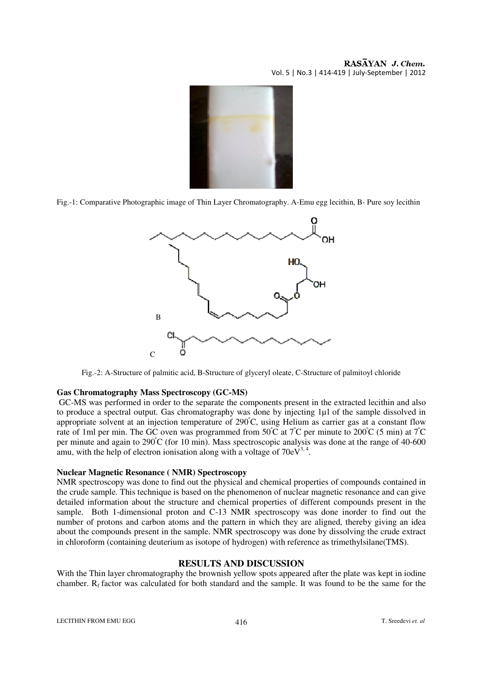## RASAYAN J. Chem. Vol. 5 | No.3 | 414-419 | July-September | 2012



Fig.-1: Comparative Photographic image of Thin Layer Chromatography. A-Emu egg lecithin, B- Pure soy lecithin



Fig.-2: A-Structure of palmitic acid, B-Structure of glyceryl oleate, C-Structure of palmitoyl chloride

#### **Gas Chromatography Mass Spectroscopy (GC-MS)**

 GC-MS was performed in order to the separate the components present in the extracted lecithin and also to produce a spectral output. Gas chromatography was done by injecting 1µl of the sample dissolved in appropriate solvent at an injection temperature of 290<sup>º</sup>C, using Helium as carrier gas at a constant flow rate of 1ml per min. The GC oven was programmed from  $50^{\circ}$ C at  $7^{\circ}$ C per minute to  $200^{\circ}$ C (5 min) at  $7^{\circ}$ C per minute and again to 290<sup>º</sup>C (for 10 min). Mass spectroscopic analysis was done at the range of 40-600 amu, with the help of electron ionisation along with a voltage of  $70 \text{eV}^{3,4}$ .

#### **Nuclear Magnetic Resonance ( NMR) Spectroscopy**

NMR spectroscopy was done to find out the physical and chemical properties of compounds contained in the crude sample. This technique is based on the phenomenon of nuclear magnetic resonance and can give detailed information about the structure and chemical properties of different compounds present in the sample. Both 1-dimensional proton and C-13 NMR spectroscopy was done inorder to find out the number of protons and carbon atoms and the pattern in which they are aligned, thereby giving an idea about the compounds present in the sample. NMR spectroscopy was done by dissolving the crude extract in chloroform (containing deuterium as isotope of hydrogen) with reference as trimethylsilane(TMS).

# **RESULTS AND DISCUSSION**

With the Thin layer chromatography the brownish yellow spots appeared after the plate was kept in iodine chamber.  $R_f$  factor was calculated for both standard and the sample. It was found to be the same for the

LECITHIN FROM EMU EGG 416 T. Sreedevi *et. al*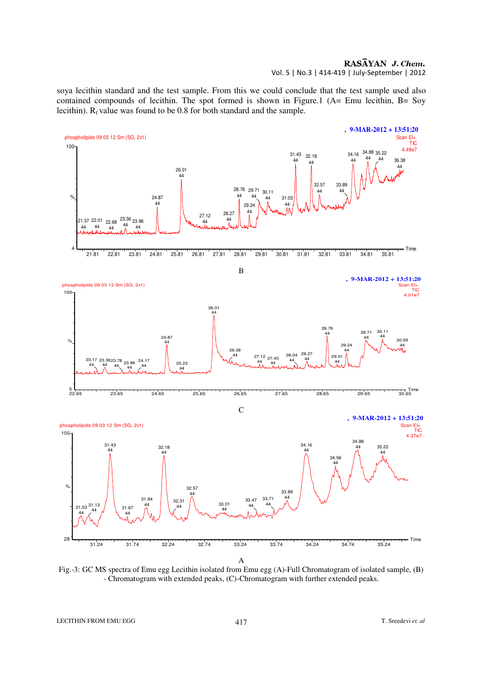## RASAYAN J. Chem. Vol. 5 | No.3 | 414-419 | July-September | 2012

soya lecithin standard and the test sample. From this we could conclude that the test sample used also contained compounds of lecithin. The spot formed is shown in Figure.1 (A= Emu lecithin, B= Soy lecithin).  $R_f$  value was found to be 0.8 for both standard and the sample.



Fig.-3: GC MS spectra of Emu egg Lecithin isolated from Emu egg (A)-Full Chromatogram of isolated sample, (B) - Chromatogram with extended peaks, (C)-Chromatogram with further extended peaks.

LECITHIN FROM EMU EGG 417 T. Sreedevi *et. al*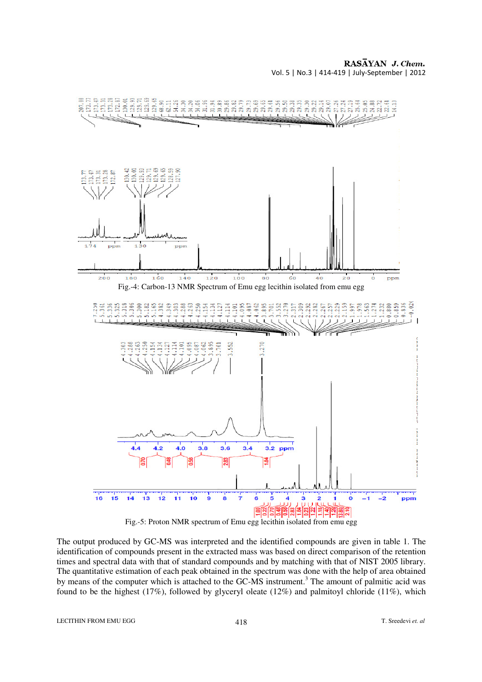

Fig.-5: Proton NMR spectrum of Emu egg lecithin isolated from emu egg

The output produced by GC-MS was interpreted and the identified compounds are given in table 1. The identification of compounds present in the extracted mass was based on direct comparison of the retention times and spectral data with that of standard compounds and by matching with that of NIST 2005 library. The quantitative estimation of each peak obtained in the spectrum was done with the help of area obtained by means of the computer which is attached to the GC-MS instrument.<sup>3</sup> The amount of palmitic acid was found to be the highest (17%), followed by glyceryl oleate (12%) and palmitoyl chloride (11%), which

LECITHIN FROM EMU EGG 418 T. Sreedevi *et. al*